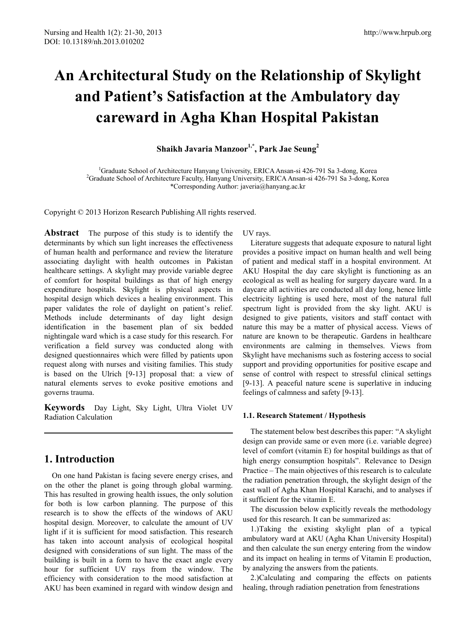# **An Architectural Study on the Relationship of Skylight and Patient's Satisfaction at the Ambulatory day careward in Agha Khan Hospital Pakistan**

**Shaikh Javaria Manzoor1,\*, Park Jae Seung2**

<sup>1</sup>Graduate School of Architecture Hanyang University, ERICA Ansan-si 426-791 Sa 3-dong, Korea <sup>2</sup>Graduate School of Architecture Equally, Hanyang University, ERICA Ansan si 426-791 Sa 3-dong, Korea <sup>2</sup>Graduate School of Architecture Faculty, Hanyang University, ERICA Ansan-si 426-791 Sa 3-dong, Korea \*Corresponding Author: javeria@hanyang.ac.kr

Copyright © 2013 Horizon Research Publishing All rights reserved.

**Abstract** The purpose of this study is to identify the determinants by which sun light increases the effectiveness of human health and performance and review the literature associating daylight with health outcomes in Pakistan healthcare settings. A skylight may provide variable degree of comfort for hospital buildings as that of high energy expenditure hospitals. Skylight is physical aspects in hospital design which devices a healing environment. This paper validates the role of daylight on patient's relief. Methods include determinants of day light design identification in the basement plan of six bedded nightingale ward which is a case study for this research. For verification a field survey was conducted along with designed questionnaires which were filled by patients upon request along with nurses and visiting families. This study is based on the Ulrich [9-13] proposal that: a view of natural elements serves to evoke positive emotions and governs trauma.

**Keywords** Day Light, Sky Light, Ultra Violet UV Radiation Calculation

# **1. Introduction**

On one hand Pakistan is facing severe energy crises, and on the other the planet is going through global warming. This has resulted in growing health issues, the only solution for both is low carbon planning. The purpose of this research is to show the effects of the windows of AKU hospital design. Moreover, to calculate the amount of UV light if it is sufficient for mood satisfaction. This research has taken into account analysis of ecological hospital designed with considerations of sun light. The mass of the building is built in a form to have the exact angle every hour for sufficient UV rays from the window. The efficiency with consideration to the mood satisfaction at AKU has been examined in regard with window design and UV rays.

Literature suggests that adequate exposure to natural light provides a positive impact on human health and well being of patient and medical staff in a hospital environment. At AKU Hospital the day care skylight is functioning as an ecological as well as healing for surgery daycare ward. In a daycare all activities are conducted all day long, hence little electricity lighting is used here, most of the natural full spectrum light is provided from the sky light. AKU is designed to give patients, visitors and staff contact with nature this may be a matter of physical access. Views of nature are known to be therapeutic. Gardens in healthcare environments are calming in themselves. Views from Skylight have mechanisms such as fostering access to social support and providing opportunities for positive escape and sense of control with respect to stressful clinical settings [9-13]. A peaceful nature scene is superlative in inducing feelings of calmness and safety [9-13].

## **1.1. Research Statement / Hypothesis**

The statement below best describes this paper: "A skylight design can provide same or even more (i.e. variable degree) level of comfort (vitamin E) for hospital buildings as that of high energy consumption hospitals". Relevance to Design Practice – The main objectives of this research is to calculate the radiation penetration through, the skylight design of the east wall of Agha Khan Hospital Karachi, and to analyses if it sufficient for the vitamin E.

The discussion below explicitly reveals the methodology used for this research. It can be summarized as:

1.)Taking the existing skylight plan of a typical ambulatory ward at AKU (Agha Khan University Hospital) and then calculate the sun energy entering from the window and its impact on healing in terms of Vitamin E production, by analyzing the answers from the patients.

2.)Calculating and comparing the effects on patients healing, through radiation penetration from fenestrations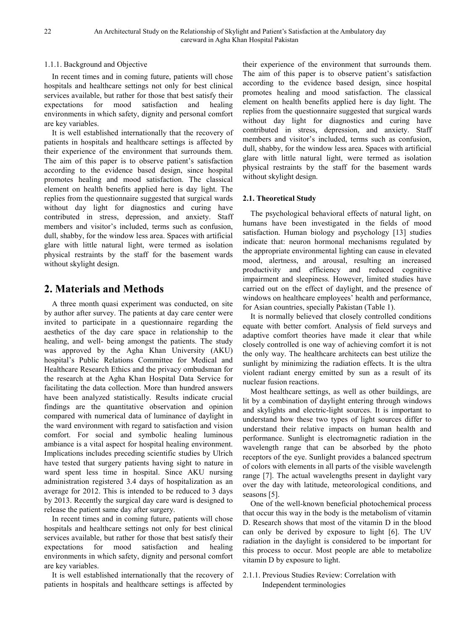## 1.1.1. Background and Objective

In recent times and in coming future, patients will chose hospitals and healthcare settings not only for best clinical services available, but rather for those that best satisfy their expectations for mood satisfaction and healing environments in which safety, dignity and personal comfort are key variables.

It is well established internationally that the recovery of patients in hospitals and healthcare settings is affected by their experience of the environment that surrounds them. The aim of this paper is to observe patient's satisfaction according to the evidence based design, since hospital promotes healing and mood satisfaction. The classical element on health benefits applied here is day light. The replies from the questionnaire suggested that surgical wards without day light for diagnostics and curing have contributed in stress, depression, and anxiety. Staff members and visitor's included, terms such as confusion, dull, shabby, for the window less area. Spaces with artificial glare with little natural light, were termed as isolation physical restraints by the staff for the basement wards without skylight design.

# **2. Materials and Methods**

A three month quasi experiment was conducted, on site by author after survey. The patients at day care center were invited to participate in a questionnaire regarding the aesthetics of the day care space in relationship to the healing, and well- being amongst the patients. The study was approved by the Agha Khan University (AKU) hospital's Public Relations Committee for Medical and Healthcare Research Ethics and the privacy ombudsman for the research at the Agha Khan Hospital Data Service for facilitating the data collection. More than hundred answers have been analyzed statistically. Results indicate crucial findings are the quantitative observation and opinion compared with numerical data of luminance of daylight in the ward environment with regard to satisfaction and vision comfort. For social and symbolic healing luminous ambiance is a vital aspect for hospital healing environment. Implications includes preceding scientific studies by Ulrich have tested that surgery patients having sight to nature in ward spent less time in hospital. Since AKU nursing administration registered 3.4 days of hospitalization as an average for 2012. This is intended to be reduced to 3 days by 2013. Recently the surgical day care ward is designed to release the patient same day after surgery.

In recent times and in coming future, patients will chose hospitals and healthcare settings not only for best clinical services available, but rather for those that best satisfy their expectations for mood satisfaction and healing environments in which safety, dignity and personal comfort are key variables.

It is well established internationally that the recovery of patients in hospitals and healthcare settings is affected by

their experience of the environment that surrounds them. The aim of this paper is to observe patient's satisfaction according to the evidence based design, since hospital promotes healing and mood satisfaction. The classical element on health benefits applied here is day light. The replies from the questionnaire suggested that surgical wards without day light for diagnostics and curing have contributed in stress, depression, and anxiety. Staff members and visitor's included, terms such as confusion, dull, shabby, for the window less area. Spaces with artificial glare with little natural light, were termed as isolation physical restraints by the staff for the basement wards without skylight design.

## **2.1. Theoretical Study**

The psychological behavioral effects of natural light, on humans have been investigated in the fields of mood satisfaction. Human biology and psychology [13] studies indicate that: neuron hormonal mechanisms regulated by the appropriate environmental lighting can cause in elevated mood, alertness, and arousal, resulting an increased productivity and efficiency and reduced cognitive impairment and sleepiness. However, limited studies have carried out on the effect of daylight, and the presence of windows on healthcare employees' health and performance, for Asian countries, specially Pakistan (Table 1).

It is normally believed that closely controlled conditions equate with better comfort. Analysis of field surveys and adaptive comfort theories have made it clear that while closely controlled is one way of achieving comfort it is not the only way. The healthcare architects can best utilize the sunlight by minimizing the radiation effects. It is the ultra violent radiant energy emitted by sun as a result of its nuclear fusion reactions.

Most healthcare settings, as well as other buildings, are lit by a combination of daylight entering through windows and skylights and electric-light sources. It is important to understand how these two types of light sources differ to understand their relative impacts on human health and performance. Sunlight is electromagnetic radiation in the wavelength range that can be absorbed by the photo receptors of the eye. Sunlight provides a balanced spectrum of colors with elements in all parts of the visible wavelength range [7]. The actual wavelengths present in daylight vary over the day with latitude, meteorological conditions, and seasons [5].

One of the well-known beneficial photochemical process that occur this way in the body is the metabolism of vitamin D. Research shows that most of the vitamin D in the blood can only be derived by exposure to light [6]. The UV radiation in the daylight is considered to be important for this process to occur. Most people are able to metabolize vitamin D by exposure to light.

2.1.1. Previous Studies Review: Correlation with Independent terminologies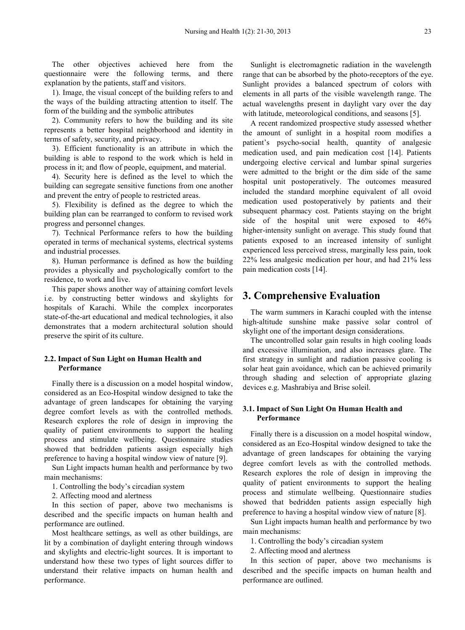The other objectives achieved here from the questionnaire were the following terms, and there explanation by the patients, staff and visitors.

1). Image, the visual concept of the building refers to and the ways of the building attracting attention to itself. The form of the building and the symbolic attributes

2). Community refers to how the building and its site represents a better hospital neighborhood and identity in terms of safety, security, and privacy.

3). Efficient functionality is an attribute in which the building is able to respond to the work which is held in process in it; and flow of people, equipment, and material.

4). Security here is defined as the level to which the building can segregate sensitive functions from one another and prevent the entry of people to restricted areas.

5). Flexibility is defined as the degree to which the building plan can be rearranged to conform to revised work progress and personnel changes.

7). Technical Performance refers to how the building operated in terms of mechanical systems, electrical systems and industrial processes.

8). Human performance is defined as how the building provides a physically and psychologically comfort to the residence, to work and live.

This paper shows another way of attaining comfort levels i.e. by constructing better windows and skylights for hospitals of Karachi. While the complex incorporates state-of-the-art educational and medical technologies, it also demonstrates that a modern architectural solution should preserve the spirit of its culture.

## **2.2. Impact of Sun Light on Human Health and Performance**

Finally there is a discussion on a model hospital window, considered as an Eco-Hospital window designed to take the advantage of green landscapes for obtaining the varying degree comfort levels as with the controlled methods. Research explores the role of design in improving the quality of patient environments to support the healing process and stimulate wellbeing. Questionnaire studies showed that bedridden patients assign especially high preference to having a hospital window view of nature [9].

Sun Light impacts human health and performance by two main mechanisms:

1. Controlling the body's circadian system

2. Affecting mood and alertness

In this section of paper, above two mechanisms is described and the specific impacts on human health and performance are outlined.

Most healthcare settings, as well as other buildings, are lit by a combination of daylight entering through windows and skylights and electric-light sources. It is important to understand how these two types of light sources differ to understand their relative impacts on human health and performance.

Sunlight is electromagnetic radiation in the wavelength range that can be absorbed by the photo-receptors of the eye. Sunlight provides a balanced spectrum of colors with elements in all parts of the visible wavelength range. The actual wavelengths present in daylight vary over the day with latitude, meteorological conditions, and seasons [5].

A recent randomized prospective study assessed whether the amount of sunlight in a hospital room modifies a patient's psycho-social health, quantity of analgesic medication used, and pain medication cost [14]. Patients undergoing elective cervical and lumbar spinal surgeries were admitted to the bright or the dim side of the same hospital unit postoperatively. The outcomes measured included the standard morphine equivalent of all ovoid medication used postoperatively by patients and their subsequent pharmacy cost. Patients staying on the bright side of the hospital unit were exposed to 46% higher-intensity sunlight on average. This study found that patients exposed to an increased intensity of sunlight experienced less perceived stress, marginally less pain, took 22% less analgesic medication per hour, and had 21% less pain medication costs [14].

# **3. Comprehensive Evaluation**

The warm summers in Karachi coupled with the intense high-altitude sunshine make passive solar control of skylight one of the important design considerations.

The uncontrolled solar gain results in high cooling loads and excessive illumination, and also increases glare. The first strategy in sunlight and radiation passive cooling is solar heat gain avoidance, which can be achieved primarily through shading and selection of appropriate glazing devices e.g. Mashrabiya and Brise soleil.

#### **3.1. Impact of Sun Light On Human Health and Performance**

Finally there is a discussion on a model hospital window, considered as an Eco-Hospital window designed to take the advantage of green landscapes for obtaining the varying degree comfort levels as with the controlled methods. Research explores the role of design in improving the quality of patient environments to support the healing process and stimulate wellbeing. Questionnaire studies showed that bedridden patients assign especially high preference to having a hospital window view of nature [8].

Sun Light impacts human health and performance by two main mechanisms:

1. Controlling the body's circadian system

2. Affecting mood and alertness

In this section of paper, above two mechanisms is described and the specific impacts on human health and performance are outlined.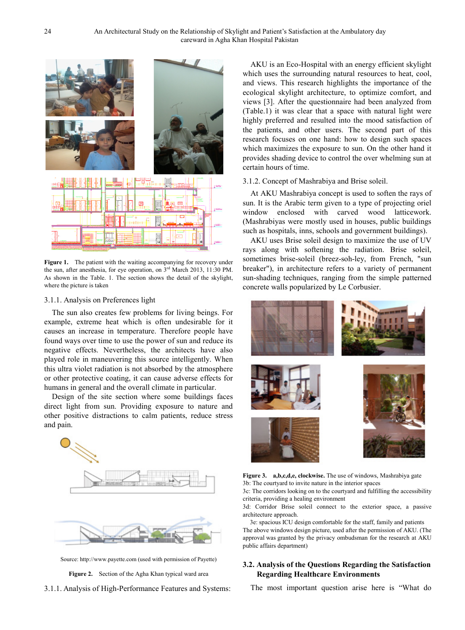

Figure 1. The patient with the waiting accompanying for recovery under the sun, after anesthesia, for eye operation, on  $3<sup>rd</sup>$  March 2013, 11:30 PM. As shown in the Table. 1. The section shows the detail of the skylight, where the picture is taken

#### 3.1.1. Analysis on Preferences light

The sun also creates few problems for living beings. For example, extreme heat which is often undesirable for it causes an increase in temperature. Therefore people have found ways over time to use the power of sun and reduce its negative effects. Nevertheless, the architects have also played role in maneuvering this source intelligently. When this ultra violet radiation is not absorbed by the atmosphere or other protective coating, it can cause adverse effects for humans in general and the overall climate in particular.

Design of the site section where some buildings faces direct light from sun. Providing exposure to nature and other positive distractions to calm patients, reduce stress and pain.



Source: http://www.payette.com (used with permission of Payette)

**Figure 2.** Section of the Agha Khan typical ward area

3.1.1. Analysis of High-Performance Features and Systems:

AKU is an Eco-Hospital with an energy efficient skylight which uses the surrounding natural resources to heat, cool, and views. This research highlights the importance of the ecological skylight architecture, to optimize comfort, and views [3]. After the questionnaire had been analyzed from (Table.1) it was clear that a space with natural light were highly preferred and resulted into the mood satisfaction of the patients, and other users. The second part of this research focuses on one hand: how to design such spaces which maximizes the exposure to sun. On the other hand it provides shading device to control the over whelming sun at certain hours of time.

## 3.1.2. Concept of Mashrabiya and Brise soleil.

At AKU Mashrabiya concept is used to soften the rays of sun. It is the Arabic term given to a type of projecting oriel window enclosed with carved wood latticework. (Mashrabiyas were mostly used in houses, public buildings such as hospitals, inns, schools and government buildings).

AKU uses Brise soleil design to maximize the use of UV rays along with softening the radiation. Brise soleil, sometimes brise-soleil (breez-soh-ley, from French, "sun breaker"), in architecture refers to a variety of permanent sun-shading techniques, ranging from the simple patterned concrete walls popularized by Le Corbusier.



**Figure 3. a,b,c,d,e, clockwise.** The use of windows, Mashrabiya gate 3b: The courtyard to invite nature in the interior spaces

3c: The corridors looking on to the courtyard and fulfilling the accessibility criteria, providing a healing environment

3d: Corridor Brise soleil connect to the exterior space, a passive architecture approach.

3e: spacious ICU design comfortable for the staff, family and patients The above windows design picture, used after the permission of AKU. (The approval was granted by the privacy ombudsman for the research at AKU public affairs department)

## **3.2. Analysis of the Questions Regarding the Satisfaction Regarding Healthcare Environments**

The most important question arise here is "What do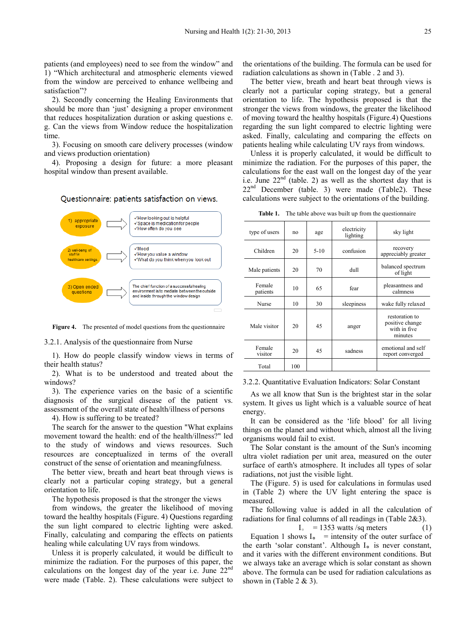patients (and employees) need to see from the window" and 1) "Which architectural and atmospheric elements viewed from the window are perceived to enhance wellbeing and satisfaction"?

2). Secondly concerning the Healing Environments that should be more than 'just' designing a proper environment that reduces hospitalization duration or asking questions e. g. Can the views from Window reduce the hospitalization time.

3). Focusing on smooth care delivery processes (window and views production orientation)

4). Proposing a design for future: a more pleasant hospital window than present available.

Questionnaire: patients satisfaction on views.



**Figure 4.** The presented of model questions from the questionnaire

3.2.1. Analysis of the questionnaire from Nurse

1). How do people classify window views in terms of their health status?

2). What is to be understood and treated about the windows?

3). The experience varies on the basic of a scientific diagnosis of the surgical disease of the patient vs. assessment of the overall state of health/illness of persons

4). How is suffering to be treated?

The search for the answer to the question "What explains movement toward the health: end of the health/illness?" led to the study of windows and views resources. Such resources are conceptualized in terms of the overall construct of the sense of orientation and meaningfulness.

The better view, breath and heart beat through views is clearly not a particular coping strategy, but a general orientation to life.

The hypothesis proposed is that the stronger the views

from windows, the greater the likelihood of moving toward the healthy hospitals (Figure. 4) Questions regarding the sun light compared to electric lighting were asked. Finally, calculating and comparing the effects on patients healing while calculating UV rays from windows.

Unless it is properly calculated, it would be difficult to minimize the radiation. For the purposes of this paper, the calculations on the longest day of the year i.e. June 22nd were made (Table. 2). These calculations were subject to

the orientations of the building. The formula can be used for radiation calculations as shown in (Table . 2 and 3).

The better view, breath and heart beat through views is clearly not a particular coping strategy, but a general orientation to life. The hypothesis proposed is that the stronger the views from windows, the greater the likelihood of moving toward the healthy hospitals (Figure.4) Questions regarding the sun light compared to electric lighting were asked. Finally, calculating and comparing the effects on patients healing while calculating UV rays from windows.

Unless it is properly calculated, it would be difficult to minimize the radiation. For the purposes of this paper, the calculations for the east wall on the longest day of the year i.e. June  $22<sup>nd</sup>$  (table. 2) as well as the shortest day that is  $22<sup>nd</sup>$  December (table. 3) were made (Table2). These calculations were subject to the orientations of the building.

| type of users      | n <sub>0</sub> | age    | electricity<br>lighting | sky light                                                    |
|--------------------|----------------|--------|-------------------------|--------------------------------------------------------------|
| Children           | 20             | $5-10$ | confusion               | recovery<br>appreciably greater                              |
| Male patients      | 20             | 70     | dull                    | balanced spectrum<br>of light                                |
| Female<br>patients | 10             | 65     | fear                    | pleasantness and<br>calmness                                 |
| <b>Nurse</b>       | 10             | 30     | sleepiness              | wake fully relaxed                                           |
| Male visitor       | 20             | 45     | anger                   | restoration to<br>positive change<br>with in five<br>minutes |
| Female<br>visitor  | 20             | 45     | sadness                 | emotional and self<br>report converged                       |
| Total              | 100            |        |                         |                                                              |

**Table 1.** The table above was built up from the questionnaire

3.2.2. Quantitative Evaluation Indicators: Solar Constant

As we all know that Sun is the brightest star in the solar system. It gives us light which is a valuable source of heat energy.

It can be considered as the 'life blood' for all living things on the planet and without which, almost all the living organisms would fail to exist.

The Solar constant is the amount of the Sun's incoming ultra violet radiation per unit area, measured on the outer surface of earth's atmosphere. It includes all types of solar radiations, not just the visible light.

The (Figure. 5) is used for calculations in formulas used in (Table 2) where the UV light entering the space is measured.

The following value is added in all the calculation of radiations for final columns of all readings in (Table 2&3).

 $I_0$  = 1353 watts /sq meters (1)

Equation 1 shows  $I_0$  = intensity of the outer surface of the earth 'solar constant'. Although I<sub>o</sub> is never constant, and it varies with the different environment conditions. But we always take an average which is solar constant as shown above. The formula can be used for radiation calculations as shown in (Table  $2 \& 3$ ).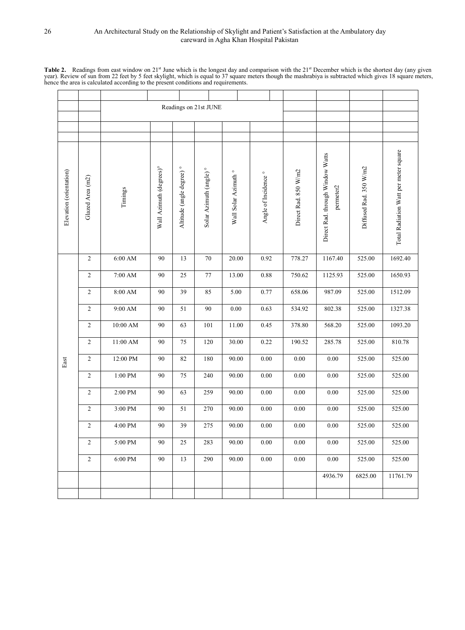Table 2. Readings from east window on 21<sup>st</sup> June which is the longest day and comparison with the 21<sup>st</sup> December which is the shortest day (any given year). Review of sun from 22 feet by 5 feet skylight, which is equal t

|                         |                  | Readings on 21st JUNE |                                     |                                      |                                    |                                 |                                 |                      |                                               |                        |                                       |
|-------------------------|------------------|-----------------------|-------------------------------------|--------------------------------------|------------------------------------|---------------------------------|---------------------------------|----------------------|-----------------------------------------------|------------------------|---------------------------------------|
|                         |                  |                       |                                     |                                      |                                    |                                 |                                 |                      |                                               |                        |                                       |
|                         |                  |                       |                                     |                                      |                                    |                                 |                                 |                      |                                               |                        |                                       |
| Elevation (orientation) | Glazed Area (m2) | Timings               | Wall Azimuth (degrees) <sup>o</sup> | Altitude (angle degree) <sup>°</sup> | Solar Azimuth (angle) <sup>°</sup> | Wall Solar Azimuth <sup>o</sup> | Angle of Incidence <sup>°</sup> | Direct Rad. 850 W/m2 | Direct Rad. through Window Watts<br>permeter2 | Diffused Rad. 350 W/m2 | Total Radiation Watt per meter square |
|                         | $\overline{c}$   | $6:00~\mathrm{AM}$    | 90                                  | 13                                   | $70\,$                             | 20.00                           | 0.92                            | 778.27               | 1167.40                                       | 525.00                 | 1692.40                               |
|                         | $\overline{c}$   | $7:00~\mathrm{AM}$    | 90                                  | 25                                   | $77 \,$                            | 13.00                           | 0.88                            | 750.62               | 1125.93                                       | 525.00                 | 1650.93                               |
|                         | $\overline{c}$   | $8:00~\mathrm{AM}$    | 90                                  | 39                                   | 85                                 | 5.00                            | 0.77                            | 658.06               | 987.09                                        | 525.00                 | 1512.09                               |
|                         | $\overline{2}$   | 9:00 AM               | 90                                  | 51                                   | 90                                 | $0.00\,$                        | 0.63                            | 534.92               | 802.38                                        | 525.00                 | 1327.38                               |
|                         | $\overline{c}$   | 10:00 AM              | 90                                  | 63                                   | 101                                | 11.00                           | 0.45                            | 378.80               | 568.20                                        | 525.00                 | 1093.20                               |
|                         | $\overline{c}$   | 11:00 AM              | 90                                  | 75                                   | 120                                | 30.00                           | 0.22                            | 190.52               | 285.78                                        | 525.00                 | 810.78                                |
| East                    | $\overline{c}$   | 12:00 PM              | 90                                  | 82                                   | 180                                | 90.00                           | 0.00                            | 0.00                 | 0.00                                          | 525.00                 | 525.00                                |
|                         | $\overline{c}$   | $1:00\ \mathrm{PM}$   | 90                                  | 75                                   | 240                                | 90.00                           | 0.00                            | 0.00                 | 0.00                                          | 525.00                 | 525.00                                |
|                         | $\overline{c}$   | 2:00 PM               | 90                                  | 63                                   | 259                                | 90.00                           | 0.00                            | 0.00                 | $0.00\,$                                      | 525.00                 | 525.00                                |
|                         | $\overline{c}$   | 3:00 PM               | 90                                  | 51                                   | 270                                | 90.00                           | 0.00                            | 0.00                 | 0.00                                          | 525.00                 | 525.00                                |
|                         | 2                | 4:00 PM               | 90                                  | 39                                   | 275                                | 90.00                           | 0.00                            | 0.00                 | 0.00                                          | 525.00                 | 525.00                                |
|                         | 2                | 5:00 PM               | 90                                  | 25                                   | 283                                | 90.00                           | 0.00                            | 0.00                 | 0.00                                          | 525.00                 | 525.00                                |
|                         | 2                | 6:00 PM               | 90                                  | 13                                   | 290                                | 90.00                           | 0.00                            | 0.00                 | 0.00                                          | 525.00                 | 525.00                                |
|                         |                  |                       |                                     |                                      |                                    |                                 |                                 |                      | 4936.79                                       | 6825.00                | 11761.79                              |
|                         |                  |                       |                                     |                                      |                                    |                                 |                                 |                      |                                               |                        |                                       |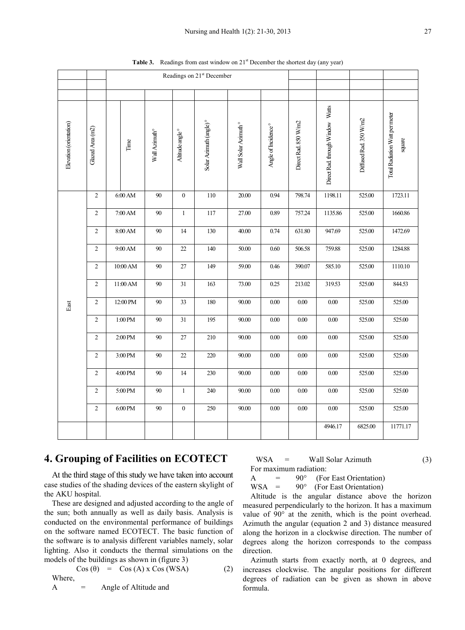|                         |                  | Readings on 21 <sup>st</sup> December |                           |                  |                                    |                                 |                                 |                      |                                  |                        |                                          |
|-------------------------|------------------|---------------------------------------|---------------------------|------------------|------------------------------------|---------------------------------|---------------------------------|----------------------|----------------------------------|------------------------|------------------------------------------|
|                         |                  |                                       |                           |                  |                                    |                                 |                                 |                      |                                  |                        |                                          |
|                         |                  |                                       |                           |                  |                                    |                                 |                                 |                      |                                  |                        |                                          |
| Elevation (orientation) | Glazed Area (m2) | $\ensuremath{\text{Time}}$            | Wall Azimuth <sup>o</sup> | Altitude angle ° | Solar Azimuth (angle) <sup>°</sup> | Wall Solar Azimuth <sup>o</sup> | Angle of Incidence <sup>°</sup> | Direct Rad. 850 W/m2 | Direct Rad. through Window Watts | Diffused Rad. 350 W/m2 | Total Radiation Watt per meter<br>square |
|                         | $\sqrt{2}$       | $6:00$ AM                             | 90                        | $\boldsymbol{0}$ | 110                                | 20.00                           | 0.94                            | 798.74               | 1198.11                          | 525.00                 | 1723.11                                  |
|                         | $\sqrt{2}$       | $7:00$ AM                             | $90\,$                    | $\mathbf{1}$     | 117                                | 27.00                           | 0.89                            | 757.24               | 1135.86                          | 525.00                 | 1660.86                                  |
|                         | $\sqrt{2}$       | $8:00\,\mathrm{AM}$                   | $90\,$                    | 14               | 130                                | 40.00                           | 0.74                            | 631.80               | 947.69                           | 525.00                 | 1472.69                                  |
|                         | $\sqrt{2}$       | $9:00$ AM                             | 90                        | $22\,$           | 140                                | 50.00                           | $0.60\,$                        | 506.58               | 759.88                           | 525.00                 | 1284.88                                  |
|                         | $\overline{c}$   | 10:00 AM                              | 90                        | $27\,$           | 149                                | 59.00                           | 0.46                            | 390.07               | 585.10                           | 525.00                 | 1110.10                                  |
|                         | $\sqrt{2}$       | 11:00 AM                              | $90\,$                    | $31\,$           | 163                                | 73.00                           | 0.25                            | 213.02               | 319.53                           | 525.00                 | 844.53                                   |
| East                    | $\sqrt{2}$       | 12:00 PM                              | 90                        | 33               | 180                                | 90.00                           | $0.00\,$                        | $0.00\,$             | $0.00\,$                         | 525.00                 | 525.00                                   |
|                         | $\sqrt{2}$       | 1:00 PM                               | 90                        | 31               | 195                                | 90.00                           | $0.00\,$                        | $0.00\,$             | $0.00\,$                         | 525.00                 | 525.00                                   |
|                         | $\boldsymbol{2}$ | 2:00 PM                               | $90\,$                    | 27               | 210                                | 90.00                           | 0.00                            | 0.00                 | $0.00\,$                         | 525.00                 | 525.00                                   |
|                         | $\sqrt{2}$       | 3:00 PM                               | $90\,$                    | $22\,$           | 220                                | 90.00                           | $0.00\,$                        | $0.00\,$             | $0.00\,$                         | 525.00                 | 525.00                                   |
|                         | $\sqrt{2}$       | 4:00 PM                               | $90\,$                    | 14               | 230                                | 90.00                           | $0.00\,$                        | $0.00\,$             | $0.00\,$                         | 525.00                 | 525.00                                   |
|                         | $\sqrt{2}$       | 5:00 PM                               | 90                        | $\mathbf{1}$     | 240                                | 90.00                           | $0.00\,$                        | $0.00\,$             | $0.00\,$                         | 525.00                 | 525.00                                   |
|                         | $\sqrt{2}$       | 6:00 PM                               | 90                        | $\boldsymbol{0}$ | 250                                | 90.00                           | $0.00\,$                        | $0.00\,$             | $0.00\,$                         | 525.00                 | 525.00                                   |
|                         |                  |                                       |                           |                  |                                    |                                 |                                 |                      | 4946.17                          | 6825.00                | 11771.17                                 |

**Table 3.** Readings from east window on 21<sup>st</sup> December the shortest day (any year)

# **4. Grouping of Facilities on ECOTECT**

At the third stage of this study we have taken into account case studies of the shading devices of the eastern skylight of the AKU hospital.

These are designed and adjusted according to the angle of the sun; both annually as well as daily basis. Analysis is conducted on the environmental performance of buildings on the software named ECOTECT. The basic function of the software is to analysis different variables namely, solar lighting. Also it conducts the thermal simulations on the models of the buildings as shown in (figure 3)

 $\cos(\theta) = \cos(A) \times \cos(WSA)$  (2) Where,

A = Angle of Altitude and

$$
WSA = Wall Solar Azimuth
$$
 (3) For maximum radiation:

$$
A = 90^{\circ} \quad \text{(For East Orientation)}
$$

WSA =  $90^\circ$  (For East Orientation)

Altitude is the angular distance above the horizon measured perpendicularly to the horizon. It has a maximum value of 90° at the zenith, which is the point overhead. Azimuth the angular (equation 2 and 3) distance measured along the horizon in a clockwise direction. The number of degrees along the horizon corresponds to the compass direction.

Azimuth starts from exactly north, at 0 degrees, and increases clockwise. The angular positions for different degrees of radiation can be given as shown in above formula.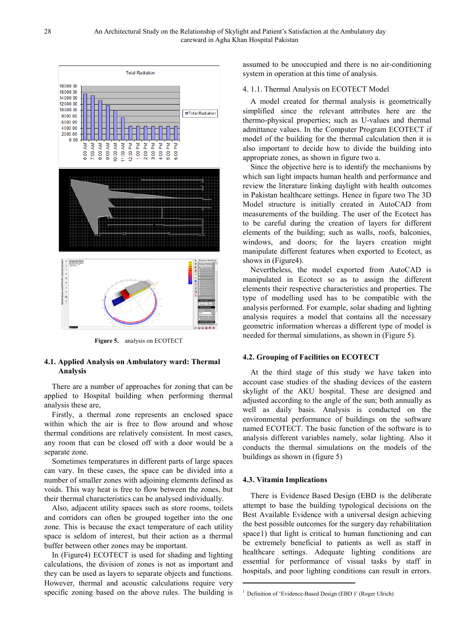

**Figure 5.** analysis on ECOTECT

## **4.1. Applied Analysis on Ambulatory ward: Thermal Analysis**

There are a number of approaches for zoning that can be applied to Hospital building when performing thermal analysis these are,

Firstly, a thermal zone represents an enclosed space within which the air is free to flow around and whose thermal conditions are relatively consistent. In most cases, any room that can be closed off with a door would be a separate zone.

Sometimes temperatures in different parts of large spaces can vary. In these cases, the space can be divided into a number of smaller zones with adjoining elements defined as voids. This way heat is free to flow between the zones, but their thermal characteristics can be analysed individually.

Also, adjacent utility spaces such as store rooms, toilets and corridors can often be grouped together into the one zone. This is because the exact temperature of each utility space is seldom of interest, but their action as a thermal buffer between other zones may be important.

In (Figure4) ECOTECT is used for shading and lighting calculations, the division of zones is not as important and they can be used as layers to separate objects and functions. However, thermal and acoustic calculations require very specific zoning based on the above rules. The building is

assumed to be unoccupied and there is no air-conditioning system in operation at this time of analysis.

#### 4. 1.1. Thermal Analysis on ECOTECT Model

A model created for thermal analysis is geometrically simplified since the relevant attributes here are the thermo-physical properties; such as U-values and thermal admittance values. In the Computer Program ECOTECT if model of the building for the thermal calculation then it is also important to decide how to divide the building into appropriate zones, as shown in figure two a.

Since the objective here is to identify the mechanisms by which sun light impacts human health and performance and review the literature linking daylight with health outcomes in Pakistan healthcare settings. Hence in figure two The 3D Model structure is initially created in AutoCAD from measurements of the building. The user of the Ecotect has to be careful during the creation of layers for different elements of the building; such as walls, roofs, balconies, windows, and doors; for the layers creation might manipulate different features when exported to Ecotect, as shows in (Figure4).

Nevertheless, the model exported from AutoCAD is manipulated in Ecotect so as to assign the different elements their respective characteristics and properties. The type of modelling used has to be compatible with the analysis performed. For example, solar shading and lighting analysis requires a model that contains all the necessary geometric information whereas a different type of model is needed for thermal simulations, as shown in (Figure 5).

#### **4.2. Grouping of Facilities on ECOTECT**

At the third stage of this study we have taken into account case studies of the shading devices of the eastern skylight of the AKU hospital. These are designed and adjusted according to the angle of the sun; both annually as well as daily basis. Analysis is conducted on the environmental performance of buildings on the software named ECOTECT. The basic function of the software is to analysis different variables namely, solar lighting. Also it conducts the thermal simulations on the models of the buildings as shown in (figure 5)

#### **4.3. Vitamin Implications**

<u>.</u>

There is Evidence Based Design (EBD is the deliberate attempt to base the building typological decisions on the Best Available Evidence with a universal design achieving the best possible outcomes for the surgery day rehabilitation space[1\)](#page-8-0) that light is critical to human functioning and can be extremely beneficial to patients as well as staff in healthcare settings. Adequate lighting conditions are essential for performance of visual tasks by staff in hospitals, and poor lighting conditions can result in errors.

<sup>&</sup>lt;sup>1</sup> Definition of 'Evidence-Based Design (EBD )' (Roger Ulrich)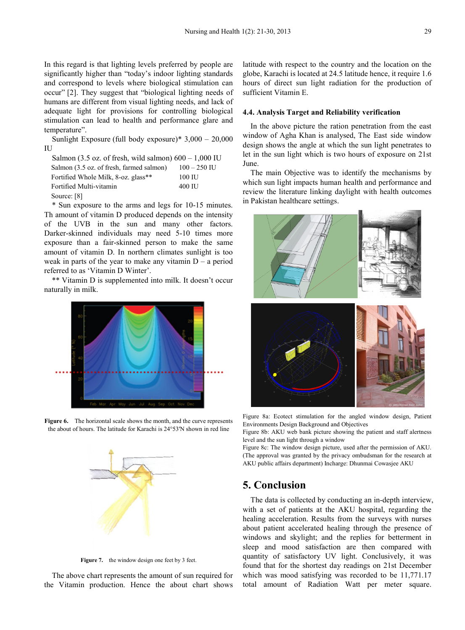In this regard is that lighting levels preferred by people are significantly higher than "today's indoor lighting standards and correspond to levels where biological stimulation can occur" [2]. They suggest that "biological lighting needs of humans are different from visual lighting needs, and lack of adequate light for provisions for controlling biological stimulation can lead to health and performance glare and temperature".

Sunlight Exposure (full body exposure)\* 3,000 – 20,000 IU

| Salmon (3.5 oz. of fresh, wild salmon) $600 - 1,000$ IU |                |
|---------------------------------------------------------|----------------|
| Salmon (3.5 oz. of fresh, farmed salmon)                | $100 - 250$ IU |
| Fortified Whole Milk, 8-oz. glass**                     | 100 IU         |
| Fortified Multi-vitamin                                 | 400 IU         |
|                                                         |                |

Source: [8]

\* Sun exposure to the arms and legs for 10-15 minutes. Th amount of vitamin D produced depends on the intensity of the UVB in the sun and many other factors. Darker-skinned individuals may need 5-10 times more exposure than a fair-skinned person to make the same amount of vitamin D. In northern climates sunlight is too weak in parts of the year to make any vitamin  $D - a$  period referred to as 'Vitamin D Winter'.

\*\* Vitamin D is supplemented into milk. It doesn't occur naturally in milk.



**Figure 6.** The horizontal scale shows the month, and the curve represents the about of hours. The latitude for Karachi is 24°53'N shown in red line



**Figure 7.** the window design one feet by 3 feet.

<span id="page-8-0"></span>The above chart represents the amount of sun required for the Vitamin production. Hence the about chart shows

latitude with respect to the country and the location on the globe, Karachi is located at 24.5 latitude hence, it require 1.6 hours of direct sun light radiation for the production of sufficient Vitamin E.

#### **4.4. Analysis Target and Reliability verification**

In the above picture the ration penetration from the east window of Agha Khan is analysed, The East side window design shows the angle at which the sun light penetrates to let in the sun light which is two hours of exposure on 21st June.

The main Objective was to identify the mechanisms by which sun light impacts human health and performance and review the literature linking daylight with health outcomes in Pakistan healthcare settings.



Figure 8a: Ecotect stimulation for the angled window design, Patient Environments Design Background and Objectives

Figure 8b: AKU web bank picture showing the patient and staff alertness level and the sun light through a window

Figure 8c: The window design picture, used after the permission of AKU. (The approval was granted by the privacy ombudsman for the research at AKU public affairs department) Incharge: Dhunmai Cowasjee AKU

## **5. Conclusion**

The data is collected by conducting an in-depth interview, with a set of patients at the AKU hospital, regarding the healing acceleration. Results from the surveys with nurses about patient accelerated healing through the presence of windows and skylight; and the replies for betterment in sleep and mood satisfaction are then compared with quantity of satisfactory UV light. Conclusively, it was found that for the shortest day readings on 21st December which was mood satisfying was recorded to be 11,771.17 total amount of Radiation Watt per meter square.